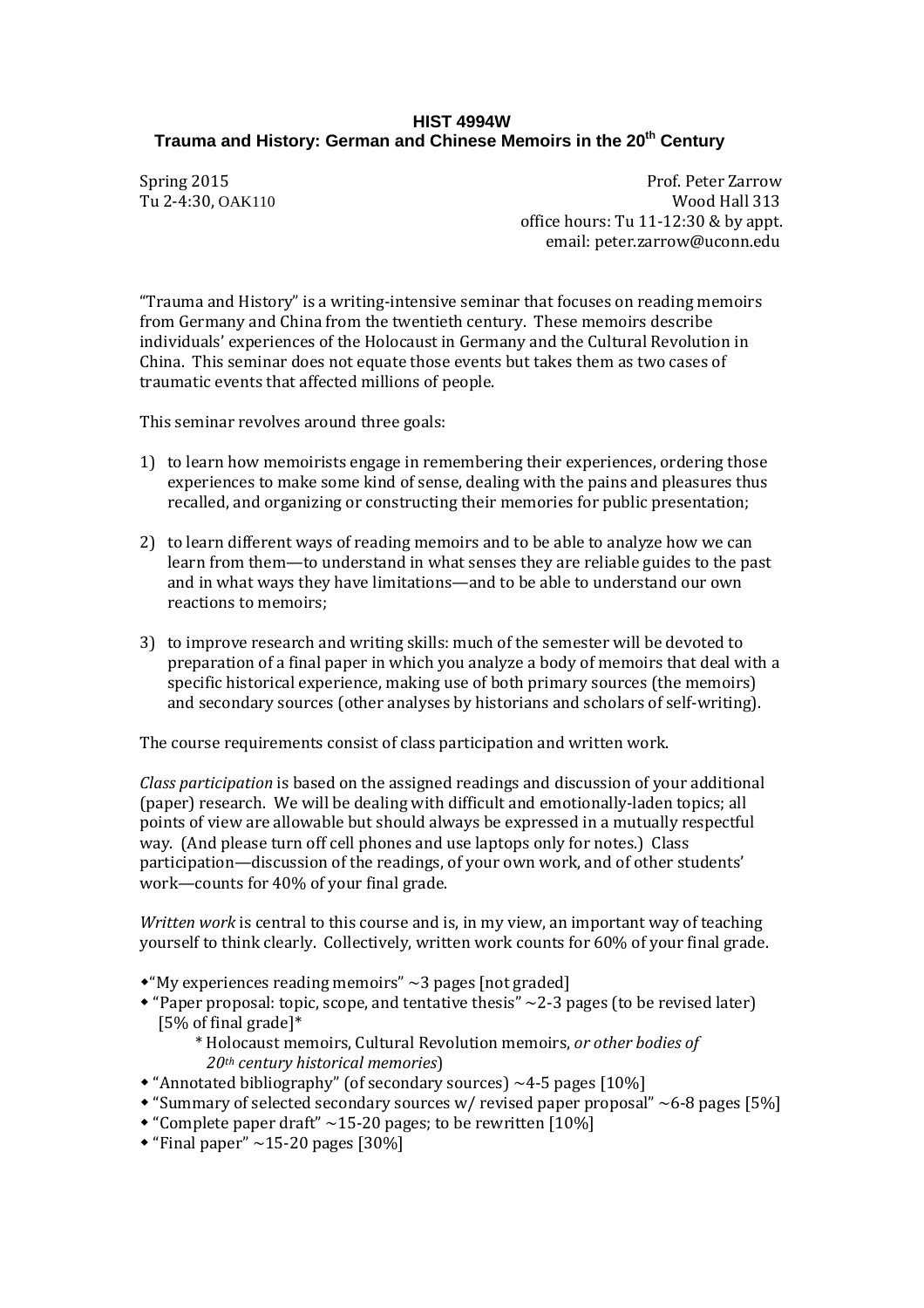# **HIST 4994W Trauma and History: German and Chinese Memoirs in the 20<sup>th</sup> Century**

Tu 2-4:30, OAK110

Spring 2015<br>Tu 2-4:30. OAK110<br>**Prof. Peter Zarrow**<br>Wood Hall 313 office hours: Tu 11-12:30 & by appt. email: peter.zarrow@uconn.edu

"Trauma and History" is a writing-intensive seminar that focuses on reading memoirs from Germany and China from the twentieth century. These memoirs describe individuals' experiences of the Holocaust in Germany and the Cultural Revolution in China. This seminar does not equate those events but takes them as two cases of traumatic events that affected millions of people.

This seminar revolves around three goals:

- 1) to learn how memoirists engage in remembering their experiences, ordering those experiences to make some kind of sense, dealing with the pains and pleasures thus recalled, and organizing or constructing their memories for public presentation;
- 2) to learn different ways of reading memoirs and to be able to analyze how we can learn from them—to understand in what senses they are reliable guides to the past and in what ways they have limitations—and to be able to understand our own reactions to memoirs;
- 3) to improve research and writing skills: much of the semester will be devoted to preparation of a final paper in which you analyze a body of memoirs that deal with a specific historical experience, making use of both primary sources (the memoirs) and secondary sources (other analyses by historians and scholars of self-writing).

The course requirements consist of class participation and written work.

*Class participation* is based on the assigned readings and discussion of your additional (paper) research. We will be dealing with difficult and emotionally-laden topics; all points of view are allowable but should always be expressed in a mutually respectful way. (And please turn off cell phones and use laptops only for notes.) Class participation—discussion of the readings, of your own work, and of other students' work—counts for 40% of your final grade.

*Written work* is central to this course and is, in my view, an important way of teaching yourself to think clearly. Collectively, written work counts for 60% of your final grade.

- $*$ "My experiences reading memoirs"  $\sim$ 3 pages [not graded]
- $*$  "Paper proposal: topic, scope, and tentative thesis"  $\sim$  2-3 pages (to be revised later) [5% of final grade]\*
	- \* Holocaust memoirs, Cultural Revolution memoirs, *or other bodies of 20th century historical memories*)
- "Annotated bibliography" (of secondary sources) ~4-5 pages [10%]
- "Summary of selected secondary sources w/ revised paper proposal"  $\sim$  6-8 pages [5%]
- "Complete paper draft"  $\sim$  15-20 pages; to be rewritten [10%]
- $\cdot$  "Final paper" ~15-20 pages [30%]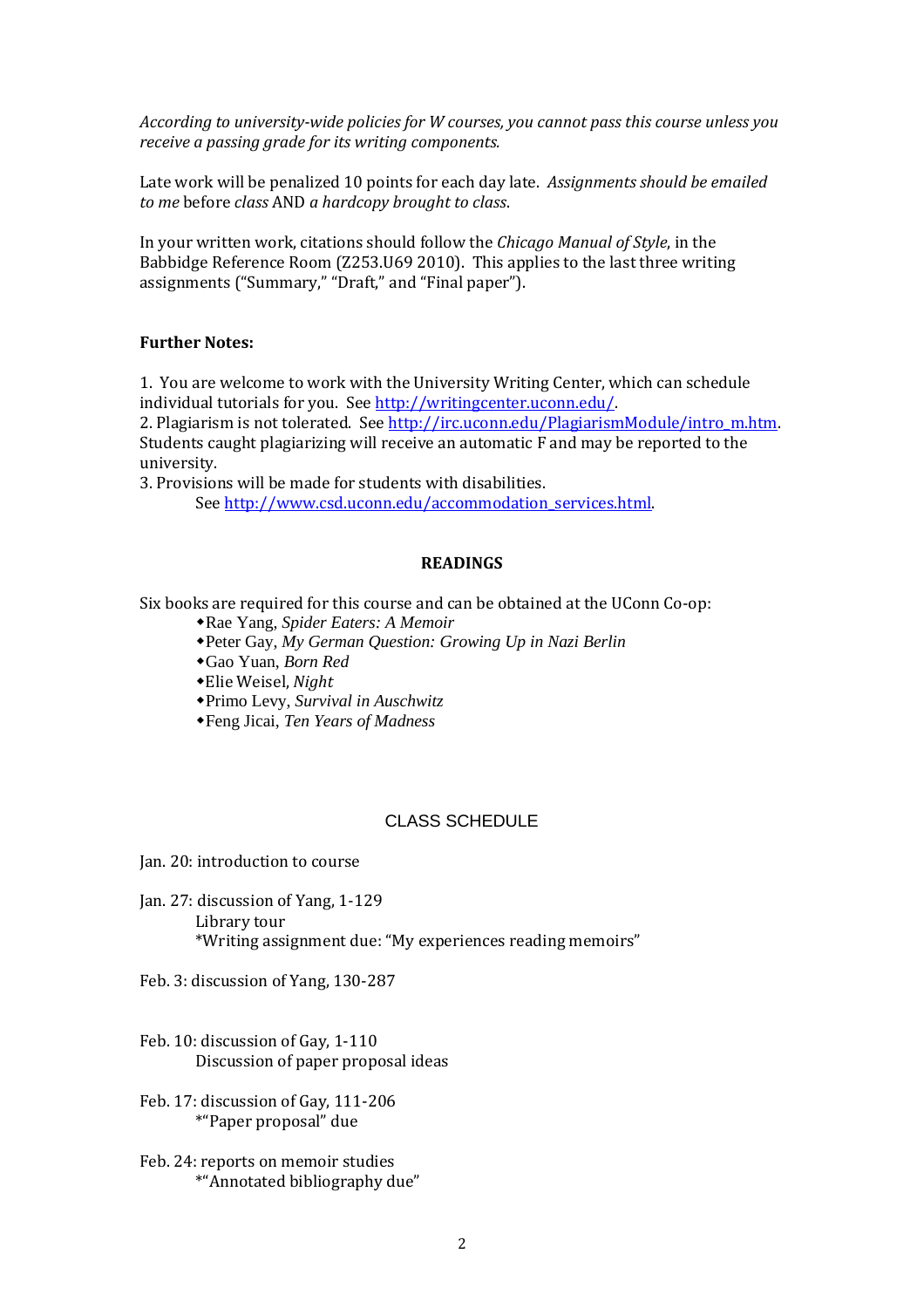*According to university-wide policies for W courses, you cannot pass this course unless you receive a passing grade for its writing components.*

Late work will be penalized 10 points for each day late. *Assignments should be emailed to me* before *class* AND *a hardcopy brought to class*.

In your written work, citations should follow the *Chicago Manual of Style*, in the Babbidge Reference Room (Z253.U69 2010). This applies to the last three writing assignments ("Summary," "Draft," and "Final paper").

# **Further Notes:**

1. You are welcome to work with the University Writing Center, which can schedule individual tutorials for you. Se[e http://writingcenter.uconn.edu/.](http://writingcenter.uconn.edu/)

2. Plagiarism is not tolerated. See [http://irc.uconn.edu/PlagiarismModule/intro\\_m.htm.](http://irc.uconn.edu/PlagiarismModule/intro_m.htm) Students caught plagiarizing will receive an automatic F and may be reported to the university.

3. Provisions will be made for students with disabilities.

See http://www.csd.uconn.edu/accommodation\_services.html

#### **READINGS**

Six books are required for this course and can be obtained at the UConn Co-op:

Rae Yang, *Spider Eaters: A Memoir*

Peter Gay, *My German Question: Growing Up in Nazi Berlin*

Gao Yuan, *Born Red* 

Elie Weisel, *Night*

Primo Levy, *Survival in Auschwitz*

Feng Jicai, *Ten Years of Madness* 

## CLASS SCHEDULE

Jan. 20: introduction to course

- Jan. 27: discussion of Yang, 1-129 Library tour \*Writing assignment due: "My experiences reading memoirs"
- Feb. 3: discussion of Yang, 130-287
- Feb. 10: discussion of Gay, 1-110 Discussion of paper proposal ideas

Feb. 17: discussion of Gay, 111-206 \*"Paper proposal" due

## Feb. 24: reports on memoir studies \*"Annotated bibliography due"